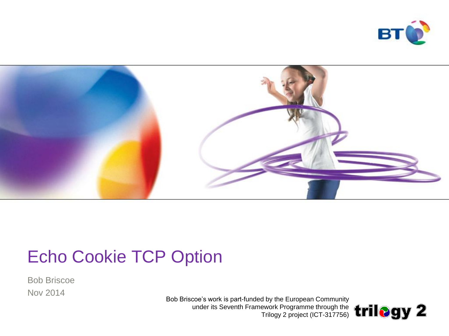



## Echo Cookie TCP Option

Bob Briscoe Nov 2014

Bob Briscoe's work is part-funded by the European Community under its Seventh Framework Programme through the Trilogy 2 project (ICT-317756)

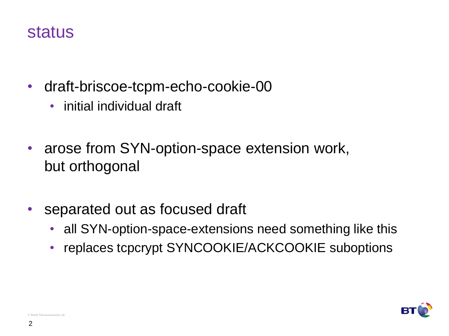#### status

- draft-briscoe-tcpm-echo-cookie-00
	- initial individual draft
- arose from SYN-option-space extension work, but orthogonal
- separated out as focused draft
	- all SYN-option-space-extensions need something like this
	- replaces tcpcrypt SYNCOOKIE/ACKCOOKIE suboptions



 $©$  British Telecommunications pl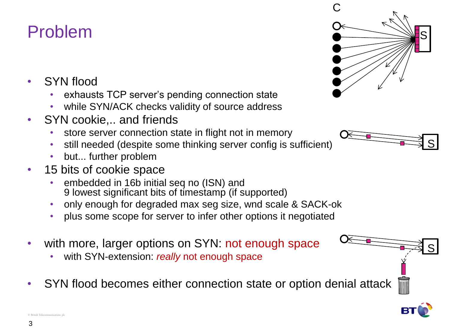#### Problem

- SYN flood
	- exhausts TCP server's pending connection state
	- while SYN/ACK checks validity of source address
- SYN cookie,.. and friends
	- store server connection state in flight not in memory
	- still needed (despite some thinking server config is sufficient)
	- but... further problem
- 15 bits of cookie space
	- embedded in 16b initial seq no (ISN) and 9 lowest significant bits of timestamp (if supported)
	- only enough for degraded max seg size, wnd scale & SACK-ok
	- plus some scope for server to infer other options it negotiated
- with more, larger options on SYN: not enough space
	- with SYN-extension: *really* not enough space
- SYN flood becomes either connection state or option denial attack







 $©$  British Telecommunications pl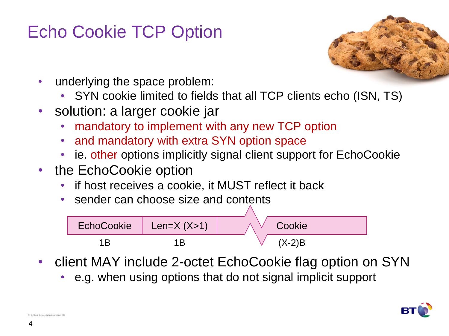# Echo Cookie TCP Option



- underlying the space problem:
	- SYN cookie limited to fields that all TCP clients echo (ISN, TS)
- solution: a larger cookie jar
	- mandatory to implement with any new TCP option
	- and mandatory with extra SYN option space
	- ie. other options implicitly signal client support for EchoCookie
- the EchoCookie option
	- if host receives a cookie, it MUST reflect it back
	- sender can choose size and contents



- client MAY include 2-octet EchoCookie flag option on SYN
	- e.g. when using options that do not signal implicit support



 $© British Telecommunications$  pl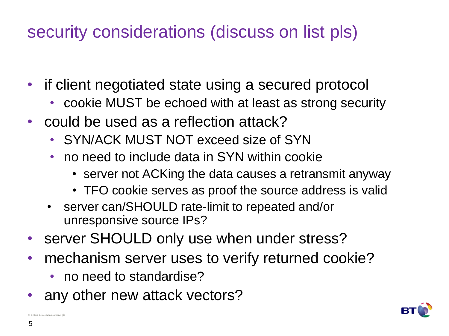# security considerations (discuss on list pls)

- if client negotiated state using a secured protocol
	- cookie MUST be echoed with at least as strong security
- could be used as a reflection attack?
	- SYN/ACK MUST NOT exceed size of SYN
	- no need to include data in SYN within cookie
		- server not ACKing the data causes a retransmit anyway
		- TFO cookie serves as proof the source address is valid
	- server can/SHOULD rate-limit to repeated and/or unresponsive source IPs?
- server SHOULD only use when under stress?
- mechanism server uses to verify returned cookie?
	- no need to standardise?
- any other new attack vectors?